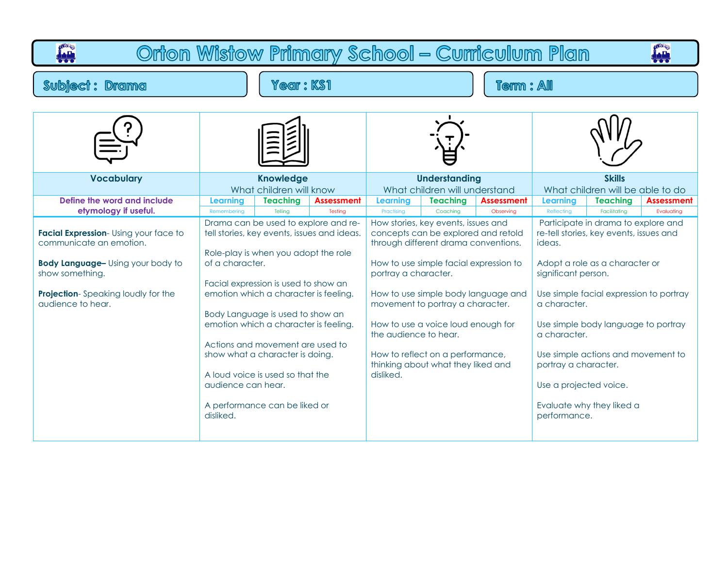| Orton Wistow Primary School - Curriculum Plan<br>iali<br>Tot                                                                                                                                                              |                                                                                                                                                                                                                                                                                                                                                                                                                                                                                                                                  |                 |                   |                                                                                                                                                                                                                                                                                                                                                                                                                                                              |                 |                   |                                                                                                                                                                                                                                                                                                                                                                                                                                                      |                 |                   |
|---------------------------------------------------------------------------------------------------------------------------------------------------------------------------------------------------------------------------|----------------------------------------------------------------------------------------------------------------------------------------------------------------------------------------------------------------------------------------------------------------------------------------------------------------------------------------------------------------------------------------------------------------------------------------------------------------------------------------------------------------------------------|-----------------|-------------------|--------------------------------------------------------------------------------------------------------------------------------------------------------------------------------------------------------------------------------------------------------------------------------------------------------------------------------------------------------------------------------------------------------------------------------------------------------------|-----------------|-------------------|------------------------------------------------------------------------------------------------------------------------------------------------------------------------------------------------------------------------------------------------------------------------------------------------------------------------------------------------------------------------------------------------------------------------------------------------------|-----------------|-------------------|
| <b>Year: KS1</b><br><b>Subject: Drama</b>                                                                                                                                                                                 |                                                                                                                                                                                                                                                                                                                                                                                                                                                                                                                                  |                 | Term : All        |                                                                                                                                                                                                                                                                                                                                                                                                                                                              |                 |                   |                                                                                                                                                                                                                                                                                                                                                                                                                                                      |                 |                   |
|                                                                                                                                                                                                                           |                                                                                                                                                                                                                                                                                                                                                                                                                                                                                                                                  |                 |                   |                                                                                                                                                                                                                                                                                                                                                                                                                                                              |                 |                   |                                                                                                                                                                                                                                                                                                                                                                                                                                                      |                 |                   |
| <b>Vocabulary</b>                                                                                                                                                                                                         | <b>Knowledge</b><br>What children will know                                                                                                                                                                                                                                                                                                                                                                                                                                                                                      |                 |                   | <b>Understanding</b><br>What children will understand                                                                                                                                                                                                                                                                                                                                                                                                        |                 |                   | <b>Skills</b><br>What children will be able to do                                                                                                                                                                                                                                                                                                                                                                                                    |                 |                   |
| Define the word and include                                                                                                                                                                                               | Learning                                                                                                                                                                                                                                                                                                                                                                                                                                                                                                                         | <b>Teaching</b> | <b>Assessment</b> | Learning                                                                                                                                                                                                                                                                                                                                                                                                                                                     | <b>Teaching</b> | <b>Assessment</b> | Learning                                                                                                                                                                                                                                                                                                                                                                                                                                             | <b>Teaching</b> | <b>Assessment</b> |
| etymology if useful.<br>Facial Expression-Using your face to<br>communicate an emotion.<br><b>Body Language-</b> Using your body to<br>show something.<br><b>Projection-</b> Speaking loudly for the<br>audience to hear. | Telling<br>Remembering<br>Testing<br>Drama can be used to explore and re-<br>tell stories, key events, issues and ideas.<br>Role-play is when you adopt the role<br>of a character.<br>Facial expression is used to show an<br>emotion which a character is feeling.<br>Body Language is used to show an<br>emotion which a character is feeling.<br>Actions and movement are used to<br>show what a character is doing.<br>A loud voice is used so that the<br>audience can hear.<br>A performance can be liked or<br>disliked. |                 |                   | Practising<br>Coaching<br>Observing<br>How stories, key events, issues and<br>concepts can be explored and retold<br>through different drama conventions.<br>How to use simple facial expression to<br>portray a character.<br>How to use simple body language and<br>movement to portray a character.<br>How to use a voice loud enough for<br>the audience to hear.<br>How to reflect on a performance,<br>thinking about what they liked and<br>disliked. |                 |                   | Reflecting<br>Facilitating<br>Evaluating<br>Participate in drama to explore and<br>re-tell stories, key events, issues and<br>ideas.<br>Adopt a role as a character or<br>significant person.<br>Use simple facial expression to portray<br>a character.<br>Use simple body language to portray<br>a character.<br>Use simple actions and movement to<br>portray a character.<br>Use a projected voice.<br>Evaluate why they liked a<br>performance. |                 |                   |